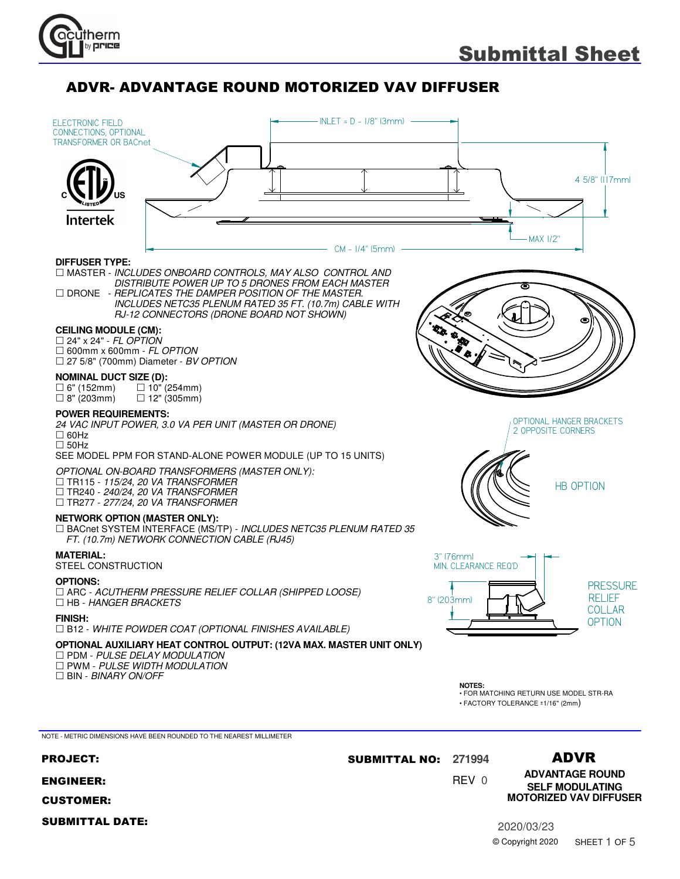



ENGINEER:

CUSTOMER:

SUBMITTAL DATE:

# 0 REV

**ADVANTAGE ROUND SELF MODULATING MOTORIZED VAV DIFFUSER**

2020/03/23 © Copyright 2020 SHEET 1 OF 5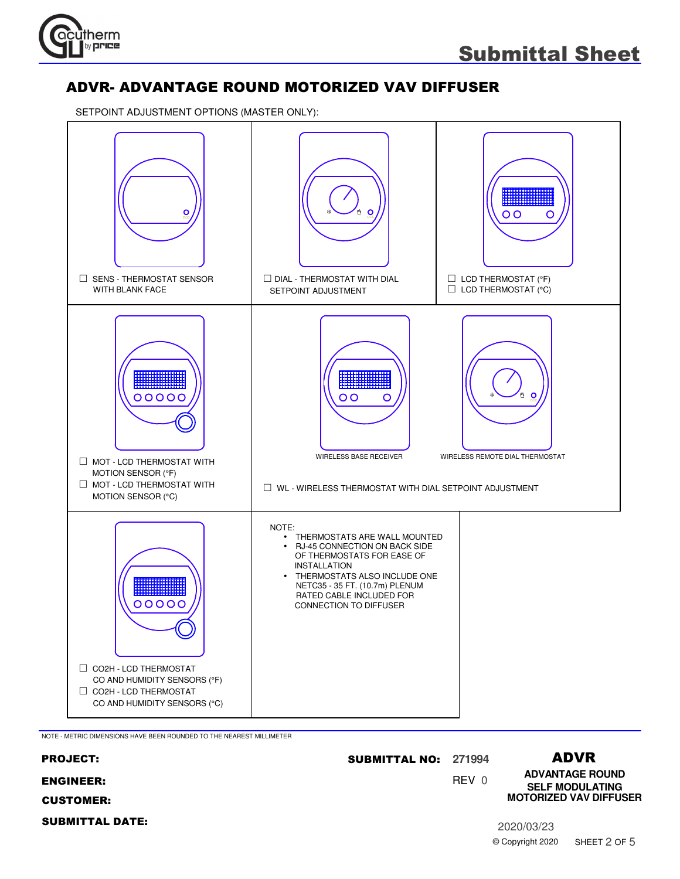

SETPOINT ADJUSTMENT OPTIONS (MASTER ONLY):



NOTE - METRIC DIMENSIONS HAVE BEEN ROUNDED TO THE NEAREST MILLIMETER

| <b>PROJECT:</b>        | <b>SUBMITTAL NO:</b> | 271994 |                  | <b>ADVR</b>                                      |
|------------------------|----------------------|--------|------------------|--------------------------------------------------|
| <b>ENGINEER:</b>       |                      | REV 0  |                  | <b>ADVANTAGE ROUND</b><br><b>SELF MODULATING</b> |
| <b>CUSTOMER:</b>       |                      |        |                  | <b>MOTORIZED VAV DIFFUSER</b>                    |
| <b>SUBMITTAL DATE:</b> |                      |        | 2020/03/23       |                                                  |
|                        |                      |        | © Copyright 2020 | SHEET 2 OF 5                                     |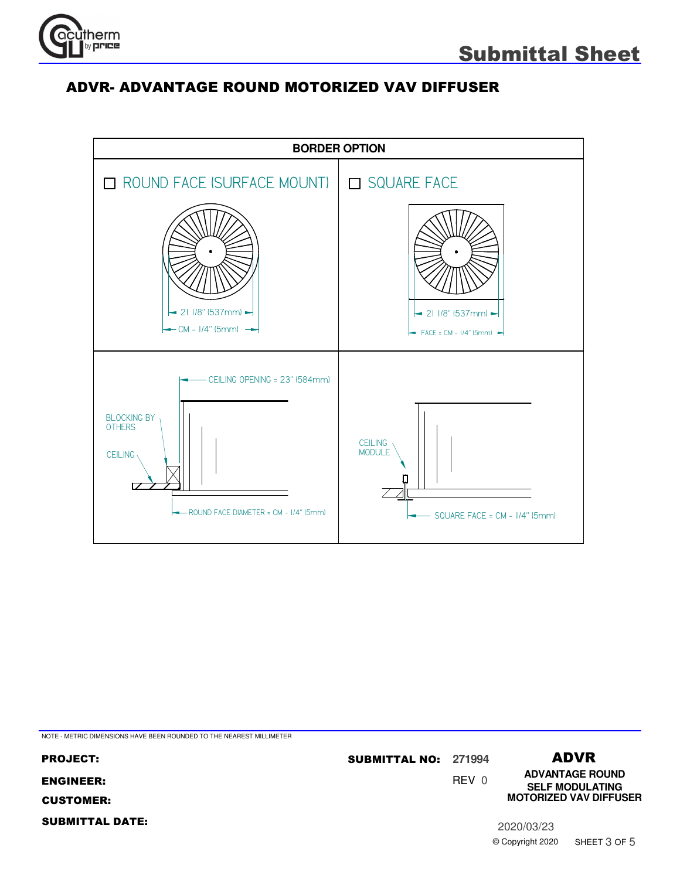

© Copyright 2020

SHEET 3 OF 5

#### ADVR- ADVANTAGE ROUND MOTORIZED VAV DIFFUSER



NOTE - METRIC DIMENSIONS HAVE BEEN ROUNDED TO THE NEAREST MILLIMETER

0 REV ADVR **ADVANTAGE ROUND** PROJECT: **271994** SUBMITTAL NO: ENGINEER: CUSTOMER: SUBMITTAL DATE: 2020/03/23 **SELF MODULATING MOTORIZED VAV DIFFUSER**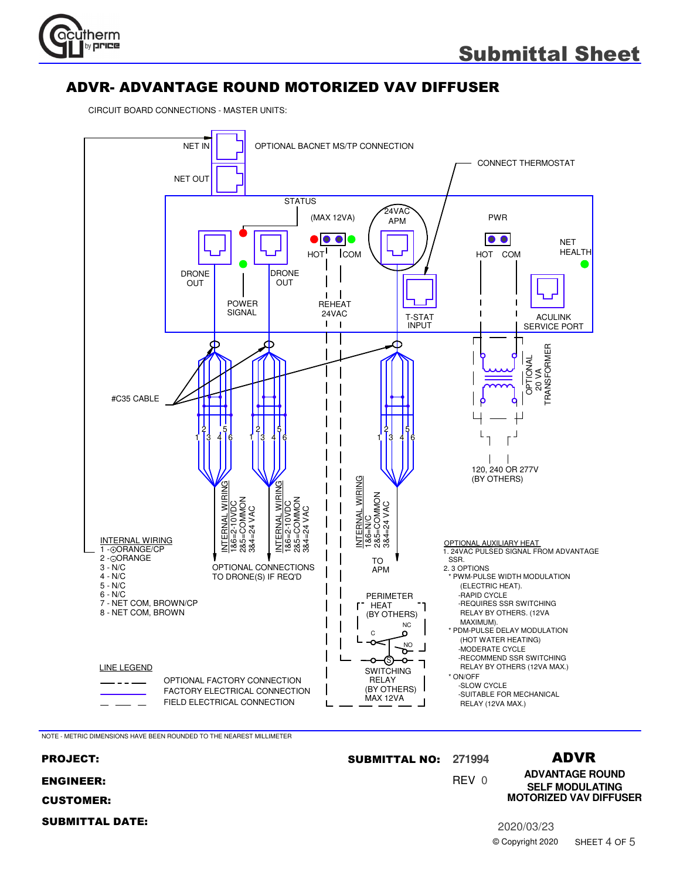

CIRCUIT BOARD CONNECTIONS - MASTER UNITS:



NOTE - METRIC DIMENSIONS HAVE BEEN ROUNDED TO THE NEAREST MILLIMETER

#### 0 REV ADVR **ADVANTAGE ROUND** PROJECT: **271994** SUBMITTAL NO: ENGINEER: CUSTOMER: SUBMITTAL DATE: 2020/03/23 © Copyright 2020 **SELF MODULATING MOTORIZED VAV DIFFUSER** SHEET 4 OF 5